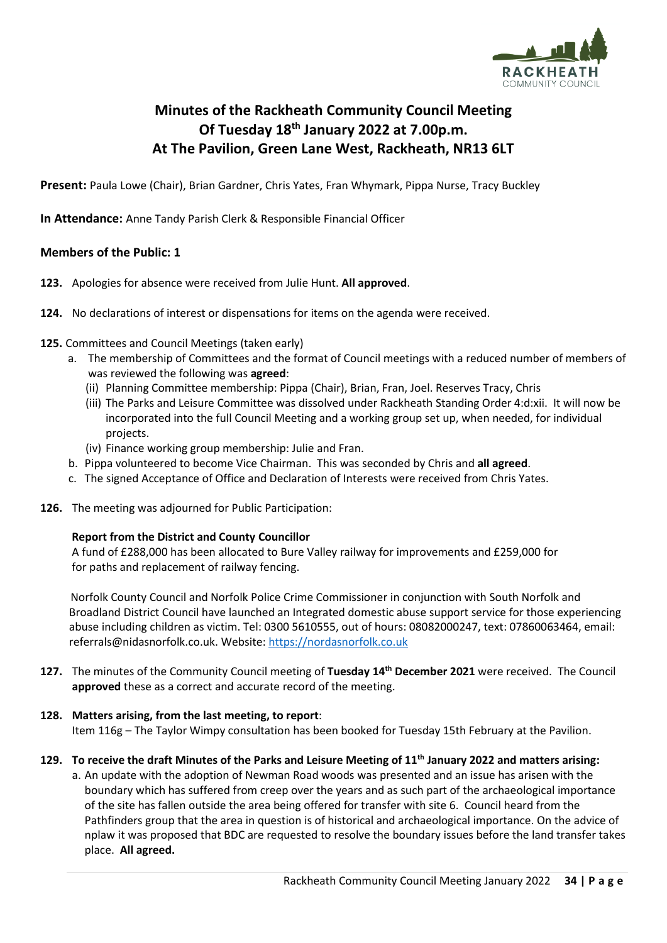

# **Minutes of the Rackheath Community Council Meeting Of Tuesday 18th January 2022 at 7.00p.m. At The Pavilion, Green Lane West, Rackheath, NR13 6LT**

**Present:** Paula Lowe (Chair), Brian Gardner, Chris Yates, Fran Whymark, Pippa Nurse, Tracy Buckley

**In Attendance:** Anne Tandy Parish Clerk & Responsible Financial Officer

# **Members of the Public: 1**

- **123.** Apologies for absence were received from Julie Hunt. **All approved**.
- **124.** No declarations of interest or dispensations for items on the agenda were received.
- **125.** Committees and Council Meetings (taken early)
	- a. The membership of Committees and the format of Council meetings with a reduced number of members of was reviewed the following was **agreed**:
		- (ii) Planning Committee membership: Pippa (Chair), Brian, Fran, Joel. Reserves Tracy, Chris
		- (iii) The Parks and Leisure Committee was dissolved under Rackheath Standing Order 4:d:xii. It will now be incorporated into the full Council Meeting and a working group set up, when needed, for individual projects.
		- (iv) Finance working group membership: Julie and Fran.
	- b. Pippa volunteered to become Vice Chairman. This was seconded by Chris and **all agreed**.
	- c. The signed Acceptance of Office and Declaration of Interests were received from Chris Yates.
- **126.** The meeting was adjourned for Public Participation:

#### **Report from the District and County Councillor**

A fund of £288,000 has been allocated to Bure Valley railway for improvements and £259,000 for for paths and replacement of railway fencing.

Norfolk County Council and Norfolk Police Crime Commissioner in conjunction with South Norfolk and Broadland District Council have launched an Integrated domestic abuse support service for those experiencing abuse including children as victim. Tel: 0300 5610555, out of hours: 08082000247, text: 07860063464, email: referrals@nidasnorfolk.co.uk. Website[: https://nordasnorfolk.co.uk](https://nordasnorfolk.co.uk/)

**127.** The minutes of the Community Council meeting of **Tuesday 14th December 2021** were received. The Council **approved** these as a correct and accurate record of the meeting.

# **128. Matters arising, from the last meeting, to report**:

Item 116g – The Taylor Wimpy consultation has been booked for Tuesday 15th February at the Pavilion.

# **129. To receive the draft Minutes of the Parks and Leisure Meeting of 11th January 2022 and matters arising:**

a. An update with the adoption of Newman Road woods was presented and an issue has arisen with the boundary which has suffered from creep over the years and as such part of the archaeological importance of the site has fallen outside the area being offered for transfer with site 6. Council heard from the Pathfinders group that the area in question is of historical and archaeological importance. On the advice of nplaw it was proposed that BDC are requested to resolve the boundary issues before the land transfer takes place. **All agreed.**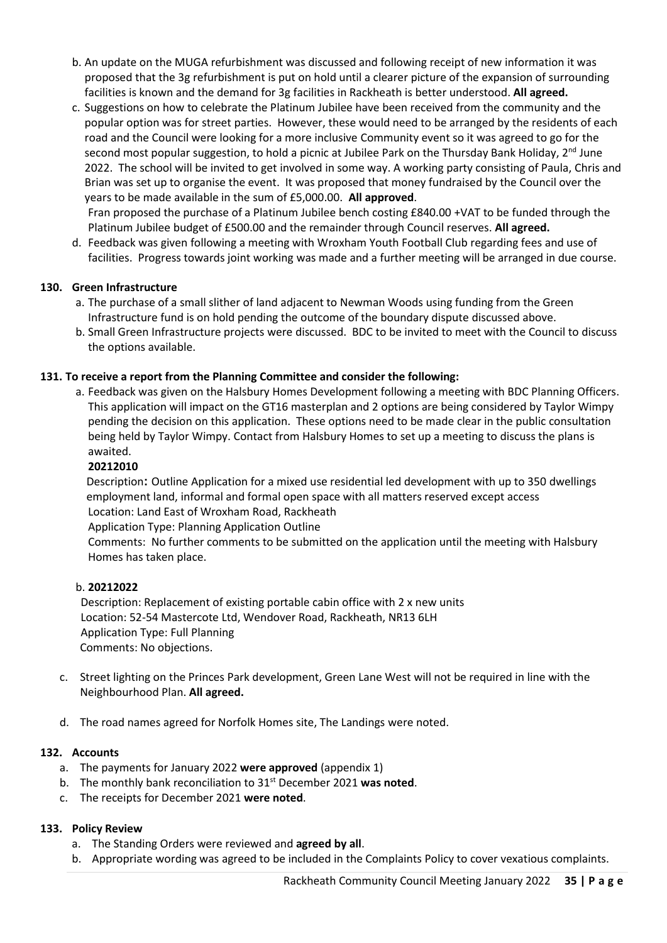- b. An update on the MUGA refurbishment was discussed and following receipt of new information it was proposed that the 3g refurbishment is put on hold until a clearer picture of the expansion of surrounding facilities is known and the demand for 3g facilities in Rackheath is better understood. **All agreed.**
- c. Suggestions on how to celebrate the Platinum Jubilee have been received from the community and the popular option was for street parties. However, these would need to be arranged by the residents of each road and the Council were looking for a more inclusive Community event so it was agreed to go for the second most popular suggestion, to hold a picnic at Jubilee Park on the Thursday Bank Holiday, 2<sup>nd</sup> June 2022. The school will be invited to get involved in some way. A working party consisting of Paula, Chris and Brian was set up to organise the event. It was proposed that money fundraised by the Council over the years to be made available in the sum of £5,000.00. **All approved**.

Fran proposed the purchase of a Platinum Jubilee bench costing £840.00 +VAT to be funded through the Platinum Jubilee budget of £500.00 and the remainder through Council reserves. **All agreed.**

d. Feedback was given following a meeting with Wroxham Youth Football Club regarding fees and use of facilities. Progress towards joint working was made and a further meeting will be arranged in due course.

### **130. Green Infrastructure**

- a. The purchase of a small slither of land adjacent to Newman Woods using funding from the Green Infrastructure fund is on hold pending the outcome of the boundary dispute discussed above.
- b. Small Green Infrastructure projects were discussed. BDC to be invited to meet with the Council to discuss the options available.

### **131. To receive a report from the Planning Committee and consider the following:**

a. Feedback was given on the Halsbury Homes Development following a meeting with BDC Planning Officers. This application will impact on the GT16 masterplan and 2 options are being considered by Taylor Wimpy pending the decision on this application. These options need to be made clear in the public consultation being held by Taylor Wimpy. Contact from Halsbury Homes to set up a meeting to discuss the plans is awaited.

#### **20212010**

Description**:** Outline Application for a mixed use residential led development with up to 350 dwellings employment land, informal and formal open space with all matters reserved except access Location: Land East of Wroxham Road, Rackheath Application Type: Planning Application Outline

Comments: No further comments to be submitted on the application until the meeting with Halsbury Homes has taken place.

#### b. **20212022**

Description: Replacement of existing portable cabin office with 2 x new units Location: 52-54 Mastercote Ltd, Wendover Road, Rackheath, NR13 6LH Application Type: Full Planning Comments: No objections.

- c. Street lighting on the Princes Park development, Green Lane West will not be required in line with the Neighbourhood Plan. **All agreed.**
- d. The road names agreed for Norfolk Homes site, The Landings were noted.

#### **132. Accounts**

- a. The payments for January 2022 **were approved** (appendix 1)
- b. The monthly bank reconciliation to 31<sup>st</sup> December 2021 was noted.
- c. The receipts for December 2021 **were noted**.

#### **133. Policy Review**

- a. The Standing Orders were reviewed and **agreed by all**.
- b. Appropriate wording was agreed to be included in the Complaints Policy to cover vexatious complaints.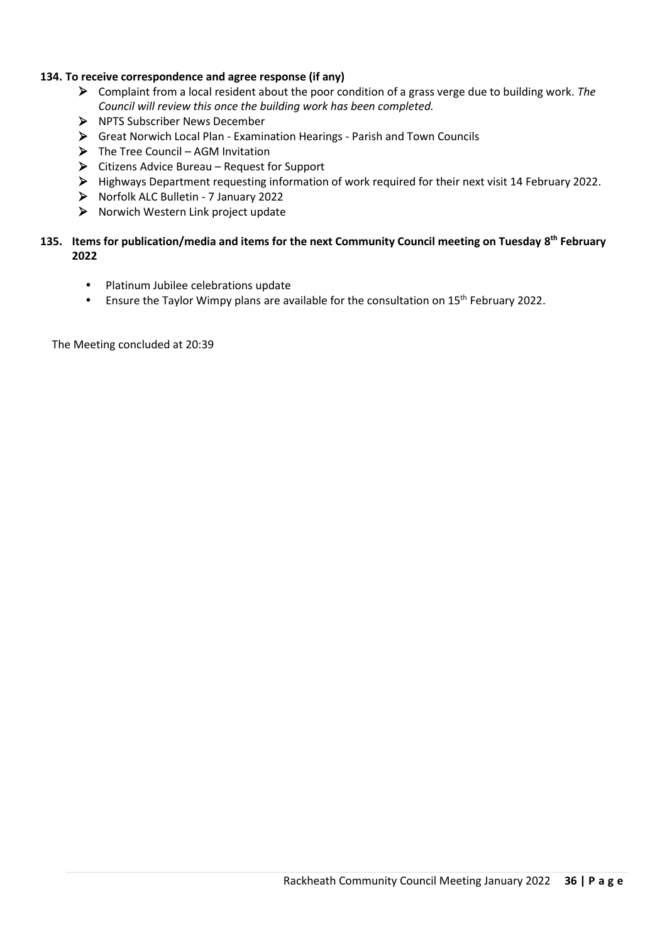### **134. To receive correspondence and agree response (if any)**

- ➢ Complaint from a local resident about the poor condition of a grass verge due to building work. *The Council will review this once the building work has been completed.*
- ➢ NPTS Subscriber News December
- ➢ Great Norwich Local Plan Examination Hearings Parish and Town Councils
- ➢ The Tree Council AGM Invitation
- ➢ Citizens Advice Bureau Request for Support
- ➢ Highways Department requesting information of work required for their next visit 14 February 2022.
- ➢ Norfolk ALC Bulletin 7 January 2022
- ➢ Norwich Western Link project update

### **135. Items for publication/media and items for the next Community Council meeting on Tuesday 8 th February 2022**

- Platinum Jubilee celebrations update
- **Ensure the Taylor Wimpy plans are available for the consultation on 15<sup>th</sup> February 2022.**

The Meeting concluded at 20:39